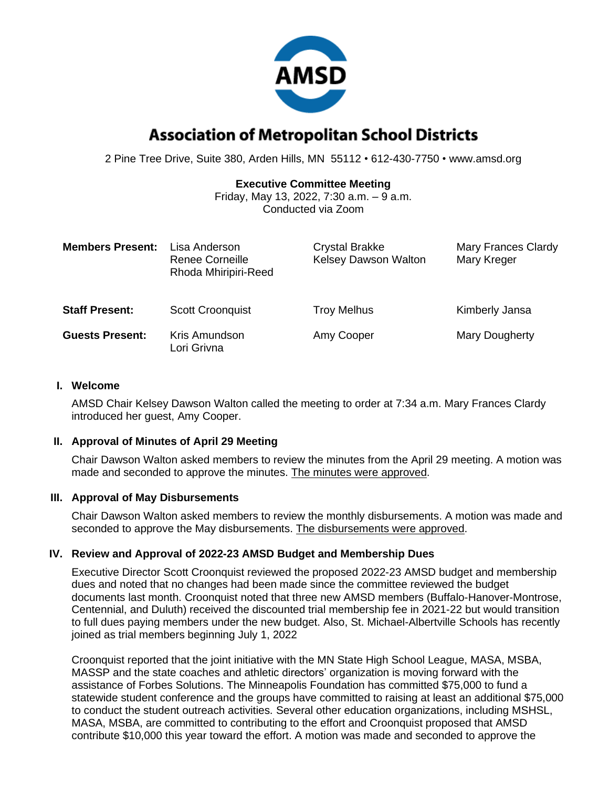

# **Association of Metropolitan School Districts**

2 Pine Tree Drive, Suite 380, Arden Hills, MN 55112 • 612-430-7750 • www.amsd.org

## **Executive Committee Meeting**

Friday, May 13, 2022, 7:30 a.m. – 9 a.m. Conducted via Zoom

| <b>Members Present:</b> | Lisa Anderson<br>Renee Corneille<br>Rhoda Mhiripiri-Reed | <b>Crystal Brakke</b><br><b>Kelsey Dawson Walton</b> | <b>Mary Frances Clardy</b><br>Mary Kreger |
|-------------------------|----------------------------------------------------------|------------------------------------------------------|-------------------------------------------|
| <b>Staff Present:</b>   | <b>Scott Croonquist</b>                                  | <b>Troy Melhus</b>                                   | Kimberly Jansa                            |
| <b>Guests Present:</b>  | Kris Amundson<br>Lori Grivna                             | Amy Cooper                                           | Mary Dougherty                            |

#### **I. Welcome**

AMSD Chair Kelsey Dawson Walton called the meeting to order at 7:34 a.m. Mary Frances Clardy introduced her guest, Amy Cooper.

### **II. Approval of Minutes of April 29 Meeting**

Chair Dawson Walton asked members to review the minutes from the April 29 meeting. A motion was made and seconded to approve the minutes. The minutes were approved.

### **III. Approval of May Disbursements**

Chair Dawson Walton asked members to review the monthly disbursements. A motion was made and seconded to approve the May disbursements. The disbursements were approved.

### **IV. Review and Approval of 2022-23 AMSD Budget and Membership Dues**

Executive Director Scott Croonquist reviewed the proposed 2022-23 AMSD budget and membership dues and noted that no changes had been made since the committee reviewed the budget documents last month. Croonquist noted that three new AMSD members (Buffalo-Hanover-Montrose, Centennial, and Duluth) received the discounted trial membership fee in 2021-22 but would transition to full dues paying members under the new budget. Also, St. Michael-Albertville Schools has recently joined as trial members beginning July 1, 2022

Croonquist reported that the joint initiative with the MN State High School League, MASA, MSBA, MASSP and the state coaches and athletic directors' organization is moving forward with the assistance of Forbes Solutions. The Minneapolis Foundation has committed \$75,000 to fund a statewide student conference and the groups have committed to raising at least an additional \$75,000 to conduct the student outreach activities. Several other education organizations, including MSHSL, MASA, MSBA, are committed to contributing to the effort and Croonquist proposed that AMSD contribute \$10,000 this year toward the effort. A motion was made and seconded to approve the